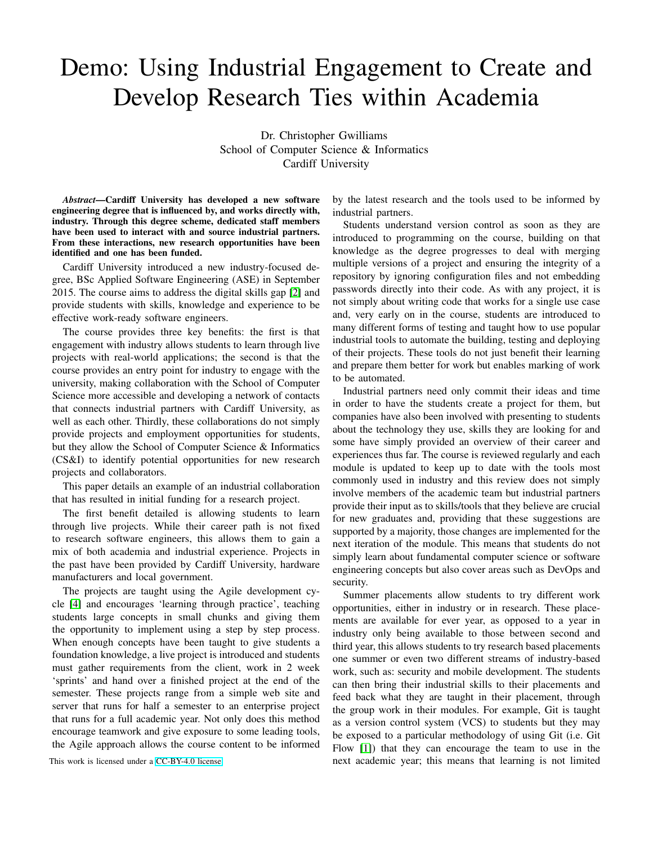## Demo: Using Industrial Engagement to Create and Develop Research Ties within Academia

Dr. Christopher Gwilliams School of Computer Science & Informatics Cardiff University

*Abstract*—Cardiff University has developed a new software engineering degree that is influenced by, and works directly with, industry. Through this degree scheme, dedicated staff members have been used to interact with and source industrial partners. From these interactions, new research opportunities have been identified and one has been funded.

Cardiff University introduced a new industry-focused degree, BSc Applied Software Engineering (ASE) in September 2015. The course aims to address the digital skills gap [\[2\]](#page-1-0) and provide students with skills, knowledge and experience to be effective work-ready software engineers.

The course provides three key benefits: the first is that engagement with industry allows students to learn through live projects with real-world applications; the second is that the course provides an entry point for industry to engage with the university, making collaboration with the School of Computer Science more accessible and developing a network of contacts that connects industrial partners with Cardiff University, as well as each other. Thirdly, these collaborations do not simply provide projects and employment opportunities for students, but they allow the School of Computer Science & Informatics (CS&I) to identify potential opportunities for new research projects and collaborators.

This paper details an example of an industrial collaboration that has resulted in initial funding for a research project.

The first benefit detailed is allowing students to learn through live projects. While their career path is not fixed to research software engineers, this allows them to gain a mix of both academia and industrial experience. Projects in the past have been provided by Cardiff University, hardware manufacturers and local government.

The projects are taught using the Agile development cycle [\[4\]](#page-1-1) and encourages 'learning through practice', teaching students large concepts in small chunks and giving them the opportunity to implement using a step by step process. When enough concepts have been taught to give students a foundation knowledge, a live project is introduced and students must gather requirements from the client, work in 2 week 'sprints' and hand over a finished project at the end of the semester. These projects range from a simple web site and server that runs for half a semester to an enterprise project that runs for a full academic year. Not only does this method encourage teamwork and give exposure to some leading tools, the Agile approach allows the course content to be informed

by the latest research and the tools used to be informed by industrial partners.

Students understand version control as soon as they are introduced to programming on the course, building on that knowledge as the degree progresses to deal with merging multiple versions of a project and ensuring the integrity of a repository by ignoring configuration files and not embedding passwords directly into their code. As with any project, it is not simply about writing code that works for a single use case and, very early on in the course, students are introduced to many different forms of testing and taught how to use popular industrial tools to automate the building, testing and deploying of their projects. These tools do not just benefit their learning and prepare them better for work but enables marking of work to be automated.

Industrial partners need only commit their ideas and time in order to have the students create a project for them, but companies have also been involved with presenting to students about the technology they use, skills they are looking for and some have simply provided an overview of their career and experiences thus far. The course is reviewed regularly and each module is updated to keep up to date with the tools most commonly used in industry and this review does not simply involve members of the academic team but industrial partners provide their input as to skills/tools that they believe are crucial for new graduates and, providing that these suggestions are supported by a majority, those changes are implemented for the next iteration of the module. This means that students do not simply learn about fundamental computer science or software engineering concepts but also cover areas such as DevOps and security.

Summer placements allow students to try different work opportunities, either in industry or in research. These placements are available for ever year, as opposed to a year in industry only being available to those between second and third year, this allows students to try research based placements one summer or even two different streams of industry-based work, such as: security and mobile development. The students can then bring their industrial skills to their placements and feed back what they are taught in their placement, through the group work in their modules. For example, Git is taught as a version control system (VCS) to students but they may be exposed to a particular methodology of using Git (i.e. Git Flow [\[1\]](#page-1-2)) that they can encourage the team to use in the This work is licensed under a [CC-BY-4.0 license.](https://creativecommons.org/licenses/by/4.0/) This means that learning is not limited vear; this means that learning is not limited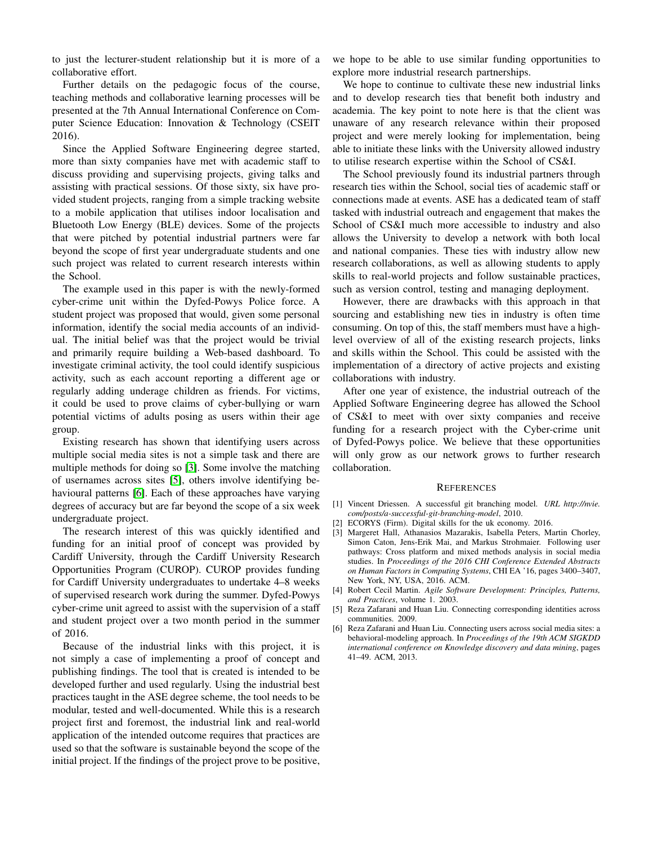to just the lecturer-student relationship but it is more of a collaborative effort.

Further details on the pedagogic focus of the course, teaching methods and collaborative learning processes will be presented at the 7th Annual International Conference on Computer Science Education: Innovation & Technology (CSEIT 2016).

Since the Applied Software Engineering degree started, more than sixty companies have met with academic staff to discuss providing and supervising projects, giving talks and assisting with practical sessions. Of those sixty, six have provided student projects, ranging from a simple tracking website to a mobile application that utilises indoor localisation and Bluetooth Low Energy (BLE) devices. Some of the projects that were pitched by potential industrial partners were far beyond the scope of first year undergraduate students and one such project was related to current research interests within the School.

The example used in this paper is with the newly-formed cyber-crime unit within the Dyfed-Powys Police force. A student project was proposed that would, given some personal information, identify the social media accounts of an individual. The initial belief was that the project would be trivial and primarily require building a Web-based dashboard. To investigate criminal activity, the tool could identify suspicious activity, such as each account reporting a different age or regularly adding underage children as friends. For victims, it could be used to prove claims of cyber-bullying or warn potential victims of adults posing as users within their age group.

Existing research has shown that identifying users across multiple social media sites is not a simple task and there are multiple methods for doing so [\[3\]](#page-1-3). Some involve the matching of usernames across sites [\[5\]](#page-1-4), others involve identifying be-havioural patterns [\[6\]](#page-1-5). Each of these approaches have varying degrees of accuracy but are far beyond the scope of a six week undergraduate project.

The research interest of this was quickly identified and funding for an initial proof of concept was provided by Cardiff University, through the Cardiff University Research Opportunities Program (CUROP). CUROP provides funding for Cardiff University undergraduates to undertake 4–8 weeks of supervised research work during the summer. Dyfed-Powys cyber-crime unit agreed to assist with the supervision of a staff and student project over a two month period in the summer of 2016.

Because of the industrial links with this project, it is not simply a case of implementing a proof of concept and publishing findings. The tool that is created is intended to be developed further and used regularly. Using the industrial best practices taught in the ASE degree scheme, the tool needs to be modular, tested and well-documented. While this is a research project first and foremost, the industrial link and real-world application of the intended outcome requires that practices are used so that the software is sustainable beyond the scope of the initial project. If the findings of the project prove to be positive,

we hope to be able to use similar funding opportunities to explore more industrial research partnerships.

We hope to continue to cultivate these new industrial links and to develop research ties that benefit both industry and academia. The key point to note here is that the client was unaware of any research relevance within their proposed project and were merely looking for implementation, being able to initiate these links with the University allowed industry to utilise research expertise within the School of CS&I.

The School previously found its industrial partners through research ties within the School, social ties of academic staff or connections made at events. ASE has a dedicated team of staff tasked with industrial outreach and engagement that makes the School of CS&I much more accessible to industry and also allows the University to develop a network with both local and national companies. These ties with industry allow new research collaborations, as well as allowing students to apply skills to real-world projects and follow sustainable practices, such as version control, testing and managing deployment.

However, there are drawbacks with this approach in that sourcing and establishing new ties in industry is often time consuming. On top of this, the staff members must have a highlevel overview of all of the existing research projects, links and skills within the School. This could be assisted with the implementation of a directory of active projects and existing collaborations with industry.

After one year of existence, the industrial outreach of the Applied Software Engineering degree has allowed the School of CS&I to meet with over sixty companies and receive funding for a research project with the Cyber-crime unit of Dyfed-Powys police. We believe that these opportunities will only grow as our network grows to further research collaboration.

## **REFERENCES**

- <span id="page-1-2"></span>[1] Vincent Driessen. A successful git branching model. *URL http://nvie. com/posts/a-successful-git-branching-model*, 2010.
- <span id="page-1-0"></span>[2] ECORYS (Firm). Digital skills for the uk economy. 2016.
- <span id="page-1-3"></span>[3] Margeret Hall, Athanasios Mazarakis, Isabella Peters, Martin Chorley, Simon Caton, Jens-Erik Mai, and Markus Strohmaier. Following user pathways: Cross platform and mixed methods analysis in social media studies. In *Proceedings of the 2016 CHI Conference Extended Abstracts on Human Factors in Computing Systems*, CHI EA '16, pages 3400–3407, New York, NY, USA, 2016. ACM.
- <span id="page-1-1"></span>[4] Robert Cecil Martin. *Agile Software Development: Principles, Patterns, and Practices*, volume 1. 2003.
- <span id="page-1-4"></span>[5] Reza Zafarani and Huan Liu. Connecting corresponding identities across communities. 2009.
- <span id="page-1-5"></span>[6] Reza Zafarani and Huan Liu. Connecting users across social media sites: a behavioral-modeling approach. In *Proceedings of the 19th ACM SIGKDD international conference on Knowledge discovery and data mining*, pages 41–49. ACM, 2013.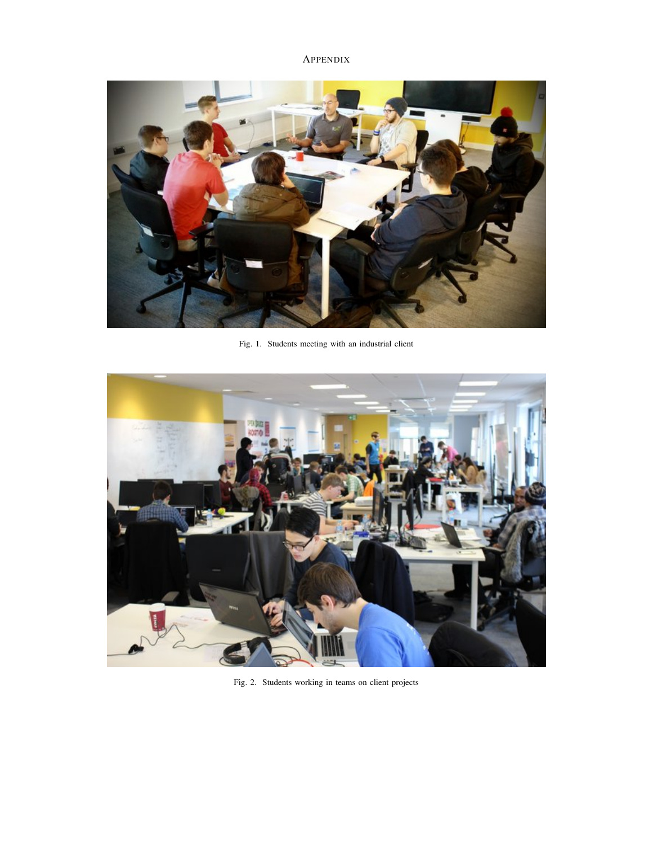APPENDIX



Fig. 1. Students meeting with an industrial client



Fig. 2. Students working in teams on client projects